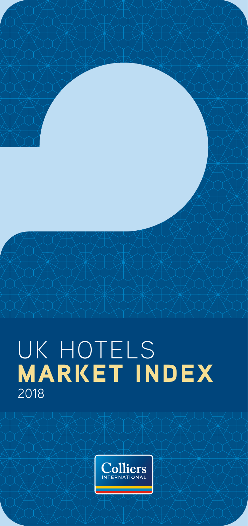# 2018 UK HOTELS MARKET INDEX

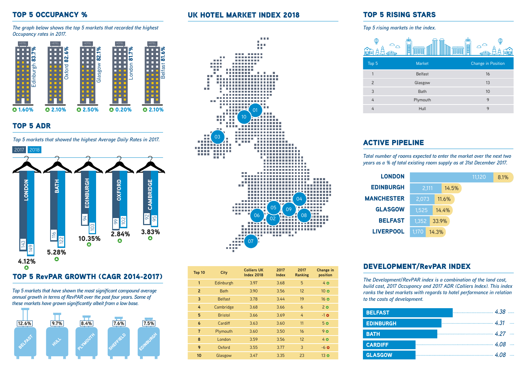## TOP 5 OCCUPANCY %

*The graph below shows the top 5 markets that recorded the highest Occupancy rates in 2017.*



## TOP 5 ADR

*Top 5 markets that showed the highest Average Daily Rates in 2017.*



#### TOP 5 RevPAR GROWTH (CAGR 2014-2017)

*Top 5 markets that have shown the most significant compound average annual growth in terms of RevPAR over the past four years. Some of these markets have grown significantly albeit from a low base.* 



## UK HOTEL MARKET INDEX 2018



| Top 10         | City           | <b>Colliers UK</b><br><b>Index 2018</b> | 2017<br><b>Index</b> | 2017<br>Ranking | <b>Change in</b><br>position |
|----------------|----------------|-----------------------------------------|----------------------|-----------------|------------------------------|
| 1              | Edinburgh      | 3.97                                    | 3.68                 | 5               | 40                           |
| $\overline{2}$ | <b>Bath</b>    | 3.90                                    | 3.56                 | 12              | 10 <sub>o</sub>              |
| 3              | <b>Belfast</b> | 3.78                                    | 3.44                 | 19              | $16\,$ $\Omega$              |
| 4              | Cambridge      | 3.68                                    | 3.66                 | 6               | 20                           |
| 5              | <b>Bristol</b> | 3.66                                    | 3.69                 | 4               | $-1$ $\circ$                 |
| 6              | Cardiff        | 3.63                                    | 3.60                 | 11              | 5 <sub>o</sub>               |
| $\overline{7}$ | Plymouth       | 3.60                                    | 3.50                 | 16              | 90                           |
| 8              | London         | 3.59                                    | 3.56                 | 12              | 40                           |
| 9              | Oxford         | 3.55                                    | 3.77                 | 3               | $-6$ $Q$                     |
| 10             | Glasgow        | 3.47                                    | 3.35                 | 23              | $13$ $\bullet$               |

## TOP 5 RISING STARS

*Top 5 rising markets in the index.* 

| æ<br>١m        | m<br>▌<br><u>Formulation</u><br>7777W<br>77773333<br><b>BEBBERG</b><br><b>BEBBERG</b> | I<br>⊞                    |
|----------------|---------------------------------------------------------------------------------------|---------------------------|
| Top 5          | <b>Market</b>                                                                         | <b>Change in Position</b> |
| 1              | <b>Belfast</b>                                                                        | 16                        |
| $\overline{2}$ | Glasgow                                                                               | 13                        |
| 3              | <b>Bath</b>                                                                           | 10                        |
| 4              | Plymouth                                                                              | 9                         |
|                | Hull                                                                                  | 9                         |

# ACTIVE PIPELINE

*Total number of rooms expected to enter the market over the next two years as a % of total existing room supply as at 31st December 2017.*

| <b>LONDON</b>     |       |       |       | 11,120 | 8.1% |
|-------------------|-------|-------|-------|--------|------|
| <b>EDINBURGH</b>  | 2,111 |       | 14.5% |        |      |
| <b>MANCHESTER</b> | 2,073 |       | 11.6% |        |      |
| <b>GLASGOW</b>    | 1.525 |       | 14.4% |        |      |
| <b>BELFAST</b>    | 1,352 | 33.9% |       |        |      |
| <b>LIVERPOOL</b>  | 1.170 | 14.3% |       |        |      |

## DEVELOPMENT/RevPAR INDEX

*The Development/RevPAR index is a combination of the land cost, build cost, 2017 Occupancy and 2017 ADR (Colliers Index). This index ranks the best markets with regards to hotel performance in relation to the costs of development.*

| <b>BELFAST</b>   |  |
|------------------|--|
| <b>EDINBURGH</b> |  |
| <b>BATH</b>      |  |
| <b>CARDIFF</b>   |  |
| <b>GLASGOW</b>   |  |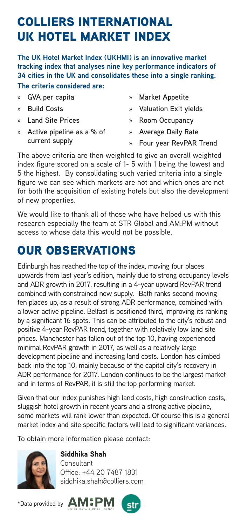# COLLIERS INTERNATIONAL UK HOTEL MARKET INDEX

**The UK Hotel Market Index (UKHMI) is an innovative market tracking index that analyses nine key performance indicators of 34 cities in the UK and consolidates these into a single ranking. The criteria considered are:**

» **GVA per capita**  » **Build Costs** » **Land Site Prices**  » **Active pipeline as a % of current supply** » **Market Appetite**  » **Valuation Exit yields**  » **Room Occupancy** » **Average Daily Rate**  » **Four year RevPAR Trend**

The above criteria are then weighted to give an overall weighted index figure scored on a scale of 1- 5 with 1 being the lowest and 5 the highest. By consolidating such varied criteria into a single figure we can see which markets are hot and which ones are not for both the acquisition of existing hotels but also the development of new properties.

We would like to thank all of those who have helped us with this research especially the team at STR Global and AM:PM without access to whose data this would not be possible.

# OUR OBSERVATIONS

Edinburgh has reached the top of the index, moving four places upwards from last year's edition, mainly due to strong occupancy levels and ADR growth in 2017, resulting in a 4-year upward RevPAR trend combined with constrained new supply. Bath ranks second moving ten places up, as a result of strong ADR performance, combined with a lower active pipeline. Belfast is positioned third, improving its ranking by a significant 16 spots. This can be attributed to the city's robust and positive 4-year RevPAR trend, together with relatively low land site prices. Manchester has fallen out of the top 10, having experienced minimal RevPAR growth in 2017, as well as a relatively large development pipeline and increasing land costs. London has climbed back into the top 10, mainly because of the capital city's recovery in ADR performance for 2017. London continues to be the largest market and in terms of RevPAR, it is still the top performing market.

Given that our index punishes high land costs, high construction costs, sluggish hotel growth in recent years and a strong active pipeline, some markets will rank lower than expected. Of course this is a general market index and site specific factors will lead to significant variances.

To obtain more information please contact:



Siddhika Shah **Consultant** Office: +44 20 7487 1831 siddhika.shah@colliers.com

\*Data provided by **AM:PM**